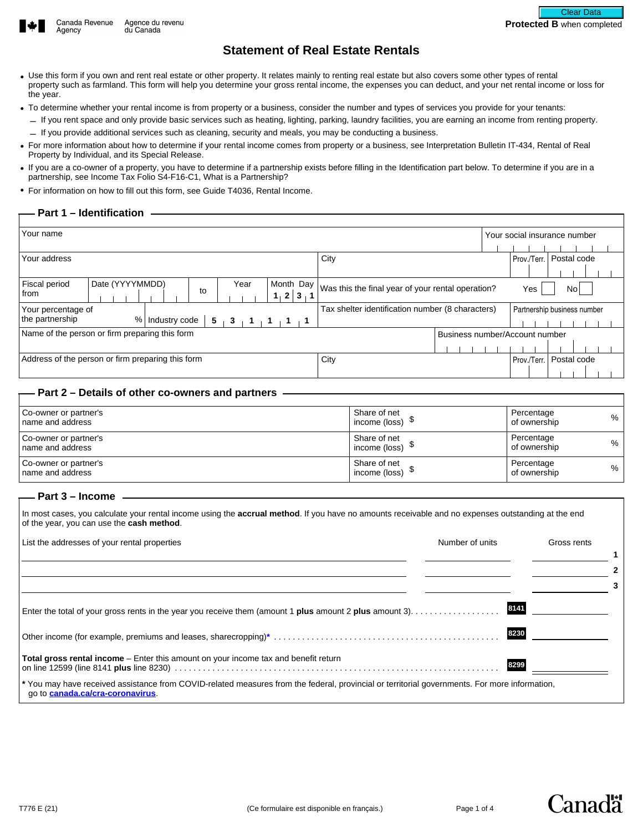



# **Statement of Real Estate Rentals**

- Use this form if you own and rent real estate or other property. It relates mainly to renting real estate but also covers some other types of rental property such as farmland. This form will help you determine your gross rental income, the expenses you can deduct, and your net rental income or loss for the year.
- To determine whether your rental income is from property or a business, consider the number and types of services you provide for your tenants:
	- If you rent space and only provide basic services such as heating, lighting, parking, laundry facilities, you are earning an income from renting property. – If you provide additional services such as cleaning, security and meals, you may be conducting a business.
- For more information about how to determine if your rental income comes from property or a business, see Interpretation Bulletin IT-434, Rental of Real Property by Individual, and its Special Release.
- If you are a co-owner of a property, you have to determine if a partnership exists before filling in the Identification part below. To determine if you are in a partnership, see Income Tax Folio S4-F16-C1, What is a Partnership?
- For information on how to fill out this form, see Guide T4036, Rental Income.

#### **Part 1 – Identification**

| Your name                                         |                 |               |    |  |                                |                   |                             |                                                   |             | Your social insurance number |  |
|---------------------------------------------------|-----------------|---------------|----|--|--------------------------------|-------------------|-----------------------------|---------------------------------------------------|-------------|------------------------------|--|
| Your address                                      |                 |               |    |  |                                |                   |                             | City                                              | Prov./Terr. | Postal code                  |  |
| Fiscal period<br>from                             | Date (YYYYMMDD) |               | to |  | Year                           | $1 \vert 2 \vert$ | Month Day<br>3 <sub>1</sub> | Was this the final year of your rental operation? | Yes         | Nol                          |  |
| Your percentage of<br>the partnership             | %               | Industry code |    |  | $5 + 3 + 1 + 1$                |                   |                             | Tax shelter identification number (8 characters)  |             | Partnership business number  |  |
| Name of the person or firm preparing this form    |                 |               |    |  | Business number/Account number |                   |                             |                                                   |             |                              |  |
| Address of the person or firm preparing this form |                 |               |    |  |                                |                   |                             | City                                              | Prov./Terr. | Postal code                  |  |

#### **Part 2 – Details of other co-owners and partners**

| Co-owner or partner's<br>I name and address | Share of net<br>income (loss) $\sqrt[3]{ }$ | Percentage<br>%<br>of ownership    |
|---------------------------------------------|---------------------------------------------|------------------------------------|
| Co-owner or partner's<br>I name and address | Share of net<br>income (loss) $\sqrt[3]{ }$ | Percentage<br>% .<br>of ownership  |
| Co-owner or partner's<br>name and address   | Share of net<br>income (loss) $\sqrt[3]{ }$ | Percentage<br>$\%$<br>of ownership |

### **Part 3 – Income**

In most cases, you calculate your rental income using the **accrual method**. If you have no amounts receivable and no expenses outstanding at the end of the year, you can use the **cash method**.

| List the addresses of your rental properties                                                                                                                                      | Number of units | Gross rents |
|-----------------------------------------------------------------------------------------------------------------------------------------------------------------------------------|-----------------|-------------|
|                                                                                                                                                                                   |                 | 2           |
|                                                                                                                                                                                   |                 |             |
|                                                                                                                                                                                   | 8141            |             |
|                                                                                                                                                                                   | 8230            |             |
| Total gross rental income - Enter this amount on your income tax and benefit return                                                                                               | 8299            |             |
| * You may have received assistance from COVID-related measures from the federal, provincial or territorial governments. For more information,<br>go to canada.ca/cra-coronavirus. |                 |             |



Canadä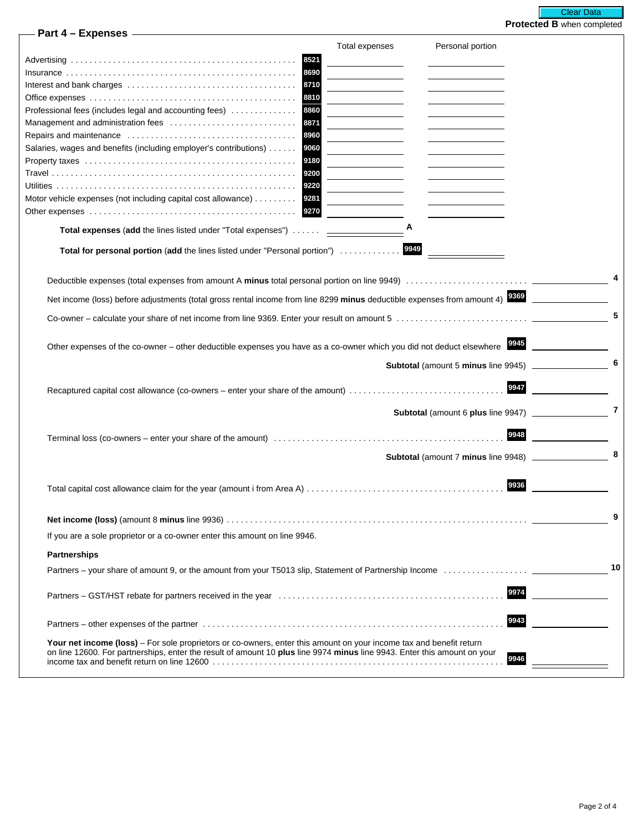| – Part 4 – Expenses – <u>– 2000 – Part 4</u>                                                                                                                                                                                                    |                |                                       |      |    |
|-------------------------------------------------------------------------------------------------------------------------------------------------------------------------------------------------------------------------------------------------|----------------|---------------------------------------|------|----|
|                                                                                                                                                                                                                                                 | Total expenses | Personal portion                      |      |    |
| 8521                                                                                                                                                                                                                                            |                |                                       |      |    |
| 8690                                                                                                                                                                                                                                            |                |                                       |      |    |
|                                                                                                                                                                                                                                                 |                |                                       |      |    |
|                                                                                                                                                                                                                                                 |                |                                       |      |    |
| 8860<br>Professional fees (includes legal and accounting fees)                                                                                                                                                                                  |                |                                       |      |    |
| 8871<br>8960                                                                                                                                                                                                                                    |                |                                       |      |    |
| Salaries, wages and benefits (including employer's contributions) 9060                                                                                                                                                                          |                |                                       |      |    |
| 9180                                                                                                                                                                                                                                            |                |                                       |      |    |
|                                                                                                                                                                                                                                                 |                |                                       |      |    |
|                                                                                                                                                                                                                                                 |                |                                       |      |    |
| Motor vehicle expenses (not including capital cost allowance) 9281                                                                                                                                                                              |                |                                       |      |    |
| 9270                                                                                                                                                                                                                                            |                |                                       |      |    |
| Total expenses (add the lines listed under "Total expenses")                                                                                                                                                                                    | A              |                                       |      |    |
| Total for personal portion (add the lines listed under "Personal portion")                                                                                                                                                                      | 9949           |                                       |      |    |
|                                                                                                                                                                                                                                                 |                |                                       |      |    |
| Net income (loss) before adjustments (total gross rental income from line 8299 minus deductible expenses from amount 4) 8869                                                                                                                    |                |                                       |      |    |
|                                                                                                                                                                                                                                                 |                |                                       |      | 5  |
| Other expenses of the co-owner – other deductible expenses you have as a co-owner which you did not deduct elsewhere 8845                                                                                                                       |                |                                       |      |    |
|                                                                                                                                                                                                                                                 |                |                                       |      | 6  |
|                                                                                                                                                                                                                                                 |                | Subtotal (amount 5 minus line 9945) _ |      |    |
| Recaptured capital cost allowance (co-owners – enter your share of the amount)                                                                                                                                                                  |                |                                       | 9947 |    |
|                                                                                                                                                                                                                                                 |                |                                       |      | 7  |
|                                                                                                                                                                                                                                                 |                |                                       |      |    |
|                                                                                                                                                                                                                                                 |                |                                       | 9948 |    |
|                                                                                                                                                                                                                                                 |                |                                       |      | 8  |
|                                                                                                                                                                                                                                                 |                |                                       | 9936 |    |
|                                                                                                                                                                                                                                                 |                |                                       |      |    |
|                                                                                                                                                                                                                                                 |                |                                       |      | 9  |
| If you are a sole proprietor or a co-owner enter this amount on line 9946.                                                                                                                                                                      |                |                                       |      |    |
| <b>Partnerships</b>                                                                                                                                                                                                                             |                |                                       |      |    |
|                                                                                                                                                                                                                                                 |                |                                       |      | 10 |
|                                                                                                                                                                                                                                                 |                |                                       | 9974 |    |
|                                                                                                                                                                                                                                                 |                |                                       | 9943 |    |
| Your net income (loss) - For sole proprietors or co-owners, enter this amount on your income tax and benefit return<br>on line 12600. For partnerships, enter the result of amount 10 plus line 9974 minus line 9943. Enter this amount on your |                |                                       | 9946 |    |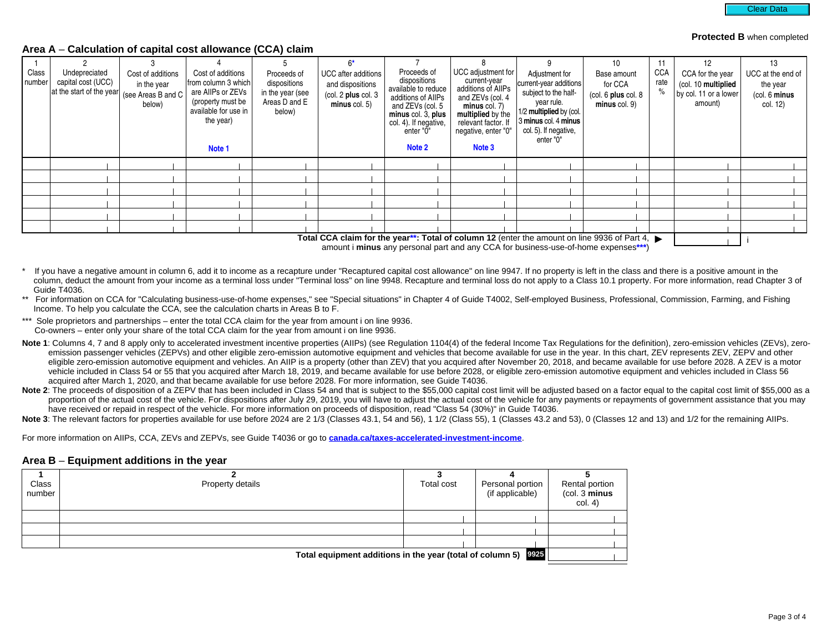#### **Protected B** when completed

#### **Area A** – **Calculation of capital cost allowance (CCA) claim**

| Class<br>number | Undepreciated<br>capital cost (UCC)<br>at the start of the year | Cost of additions<br>in the year<br>(see Areas B and C<br>below) | Cost of additions<br>from column 3 which<br>are AllPs or ZEVs<br>(property must be<br>available for use in<br>the year)<br>Note 1 | Proceeds of<br>dispositions<br>in the year (see<br>Areas D and E<br>below) | UCC after additions<br>and dispositions<br>$\left(\text{col. } 2 \text{ plus col. } 3\right)$<br>$minus$ col. 5) | Proceeds of<br>dispositions<br>available to reduce<br>additions of AllPs<br>and ZEVs (col. 5<br>minus col. 3, plus<br>col. 4). If negative,<br>enter "0"<br>Note 2 | UCC adjustment for<br>current-year<br>additions of AllPs<br>and ZEVs (col. 4<br>$minus$ col. $7)$<br>multiplied by the<br>relevant factor. If<br>negative, enter "0"<br>Note 3 | Adjustment for<br>current-year additions<br>subject to the half-<br>year rule.<br>1/2 multiplied by (col.<br>3 minus col. 4 minus<br>col. 5). If negative,<br>enter "0" | 10<br>Base amount<br>for CCA<br>(col. 6 plus col. 8)<br>minus col. 9) | 11<br><b>CCA</b><br>rate | 12<br>CCA for the year<br>(col. 10 multiplied<br>by col. 11 or a lower<br>amount) | 13<br>UCC at the end of<br>the year<br>(col. 6 minus<br>col. 12) |
|-----------------|-----------------------------------------------------------------|------------------------------------------------------------------|-----------------------------------------------------------------------------------------------------------------------------------|----------------------------------------------------------------------------|------------------------------------------------------------------------------------------------------------------|--------------------------------------------------------------------------------------------------------------------------------------------------------------------|--------------------------------------------------------------------------------------------------------------------------------------------------------------------------------|-------------------------------------------------------------------------------------------------------------------------------------------------------------------------|-----------------------------------------------------------------------|--------------------------|-----------------------------------------------------------------------------------|------------------------------------------------------------------|
|                 |                                                                 |                                                                  |                                                                                                                                   |                                                                            |                                                                                                                  |                                                                                                                                                                    |                                                                                                                                                                                |                                                                                                                                                                         |                                                                       |                          |                                                                                   |                                                                  |
|                 |                                                                 |                                                                  |                                                                                                                                   |                                                                            |                                                                                                                  |                                                                                                                                                                    |                                                                                                                                                                                |                                                                                                                                                                         |                                                                       |                          |                                                                                   |                                                                  |
|                 |                                                                 |                                                                  |                                                                                                                                   |                                                                            |                                                                                                                  |                                                                                                                                                                    |                                                                                                                                                                                |                                                                                                                                                                         |                                                                       |                          |                                                                                   |                                                                  |
|                 |                                                                 |                                                                  |                                                                                                                                   |                                                                            |                                                                                                                  |                                                                                                                                                                    |                                                                                                                                                                                |                                                                                                                                                                         |                                                                       |                          |                                                                                   |                                                                  |
|                 |                                                                 |                                                                  |                                                                                                                                   |                                                                            |                                                                                                                  |                                                                                                                                                                    |                                                                                                                                                                                |                                                                                                                                                                         |                                                                       |                          |                                                                                   |                                                                  |
|                 |                                                                 |                                                                  |                                                                                                                                   |                                                                            |                                                                                                                  |                                                                                                                                                                    |                                                                                                                                                                                |                                                                                                                                                                         |                                                                       |                          |                                                                                   |                                                                  |
|                 |                                                                 |                                                                  |                                                                                                                                   |                                                                            |                                                                                                                  |                                                                                                                                                                    |                                                                                                                                                                                | Total CCA claim for the year**: Total of column 12 (enter the amount on line 9936 of Part 4, $\blacktriangleright$                                                      |                                                                       |                          |                                                                                   |                                                                  |

**Total CCA claim for the year\*\*: Total of column 12** (enter the amount on line 9936 of Part 4, ▶ |<br>amount i **minus** any personal part and any CCA for business-use-of-home expenses<sup>\*\*\*</sup>)

- If you have a negative amount in column 6, add it to income as a recapture under "Recaptured capital cost allowance" on line 9947. If no property is left in the class and there is a positive amount in the column, deduct the amount from your income as a terminal loss under "Terminal loss" on line 9948. Recapture and terminal loss do not apply to a Class 10.1 property. For more information, read Chapter 3 of Guide T4036.
- \*\* For information on CCA for "Calculating business-use-of-home expenses," see "Special situations" in Chapter 4 of Guide T4002, Self-employed Business, Professional, Commission, Farming, and Fishing Income. To help you calculate the CCA, see the calculation charts in Areas B to F.
- \*\*\* Sole proprietors and partnerships enter the total CCA claim for the year from amount i on line 9936. Co-owners – enter only your share of the total CCA claim for the year from amount i on line 9936.
- Note 1: Columns 4, 7 and 8 apply only to accelerated investment incentive properties (AIIPs) (see Regulation 1104(4) of the federal Income Tax Regulations for the definition), zero-emission vehicles (ZEVs), zeroemission passenger vehicles (ZEPVs) and other eligible zero-emission automotive equipment and vehicles that become available for use in the year. In this chart, ZEV represents ZEV, ZEPV and other eligible zero-emission automotive equipment and vehicles. An AIIP is a property (other than ZEV) that you acquired after November 20, 2018, and became available for use before 2028. A ZEV is a motor vehicle included in Class 54 or 55 that you acquired after March 18, 2019, and became available for use before 2028, or eligible zero-emission automotive equipment and vehicles included in Class 56 acquired after March 1, 2020, and that became available for use before 2028. For more information, see Guide T4036.
- Note 2: The proceeds of disposition of a ZEPV that has been included in Class 54 and that is subject to the \$55,000 capital cost limit will be adjusted based on a factor equal to the capital cost limit of \$55,000 as a proportion of the actual cost of the vehicle. For dispositions after July 29, 2019, you will have to adjust the actual cost of the vehicle for any payments or repayments of government assistance that you may have received or repaid in respect of the vehicle. For more information on proceeds of disposition, read "Class 54 (30%)" in Guide T4036.
- Note 3: The relevant factors for properties available for use before 2024 are 2 1/3 (Classes 43.1, 54 and 56), 1 1/2 (Class 55), 1 (Classes 43.2 and 53), 0 (Classes 12 and 13) and 1/2 for the remaining AIIPs.

For more information on AIIPs, CCA, ZEVs and ZEPVs, see Guide T4036 or go to **[canada.ca/taxes-accelerated-investment-income](http://www.canada.ca/taxes-accelerated-investment-income)**.

#### **Area B** – **Equipment additions in the year**

| Class<br>number                                                | Property details | Total cost | Personal portion<br>(if applicable) | Rental portion<br>(col. 3 minus<br>col. 4) |  |  |  |
|----------------------------------------------------------------|------------------|------------|-------------------------------------|--------------------------------------------|--|--|--|
|                                                                |                  |            |                                     |                                            |  |  |  |
|                                                                |                  |            |                                     |                                            |  |  |  |
|                                                                |                  |            |                                     |                                            |  |  |  |
| Total equipment additions in the year (total of column 5) 9925 |                  |            |                                     |                                            |  |  |  |